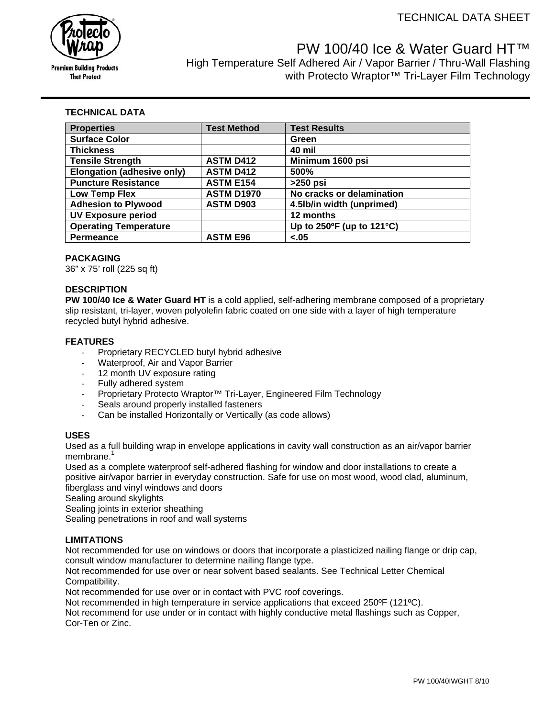

# PW 100/40 Ice & Water Guard HT™

High Temperature Self Adhered Air / Vapor Barrier / Thru-Wall Flashing with Protecto Wraptor<sup>™</sup> Tri-Layer Film Technology

## **TECHNICAL DATA**

| <b>Properties</b>            | <b>Test Method</b> | <b>Test Results</b>                           |
|------------------------------|--------------------|-----------------------------------------------|
| <b>Surface Color</b>         |                    | Green                                         |
| <b>Thickness</b>             |                    | 40 mil                                        |
| <b>Tensile Strength</b>      | <b>ASTM D412</b>   | Minimum 1600 psi                              |
| Elongation (adhesive only)   | <b>ASTM D412</b>   | 500%                                          |
| <b>Puncture Resistance</b>   | <b>ASTM E154</b>   | $>250$ psi                                    |
| Low Temp Flex                | <b>ASTM D1970</b>  | No cracks or delamination                     |
| <b>Adhesion to Plywood</b>   | <b>ASTM D903</b>   | 4.5lb/in width (unprimed)                     |
| <b>UV Exposure period</b>    |                    | 12 months                                     |
| <b>Operating Temperature</b> |                    | Up to $250^{\circ}$ F (up to $121^{\circ}$ C) |
| <b>Permeance</b>             | <b>ASTM E96</b>    | $-.05$                                        |

## **PACKAGING**

36" x 75' roll (225 sq ft)

## **DESCRIPTION**

**PW 100/40 Ice & Water Guard HT** is a cold applied, self-adhering membrane composed of a proprietary slip resistant, tri-layer, woven polyolefin fabric coated on one side with a layer of high temperature recycled butyl hybrid adhesive.

## **FEATURES**

- Proprietary RECYCLED butyl hybrid adhesive
- Waterproof, Air and Vapor Barrier
- 12 month UV exposure rating
- Fully adhered system
- Proprietary Protecto Wraptor™ Tri-Layer, Engineered Film Technology
- Seals around properly installed fasteners
- Can be installed Horizontally or Vertically (as code allows)

## **USES**

Used as a full building wrap in envelope applications in cavity wall construction as an air/vapor barrier membrane.<sup>1</sup>

Used as a complete waterproof self-adhered flashing for window and door installations to create a positive air/vapor barrier in everyday construction. Safe for use on most wood, wood clad, aluminum, fiberglass and vinyl windows and doors

Sealing around skylights

Sealing joints in exterior sheathing

Sealing penetrations in roof and wall systems

## **LIMITATIONS**

Not recommended for use on windows or doors that incorporate a plasticized nailing flange or drip cap, consult window manufacturer to determine nailing flange type.

Not recommended for use over or near solvent based sealants. See Technical Letter Chemical Compatibility.

Not recommended for use over or in contact with PVC roof coverings.

Not recommended in high temperature in service applications that exceed 250ºF (121ºC).

Not recommend for use under or in contact with highly conductive metal flashings such as Copper, Cor-Ten or Zinc.